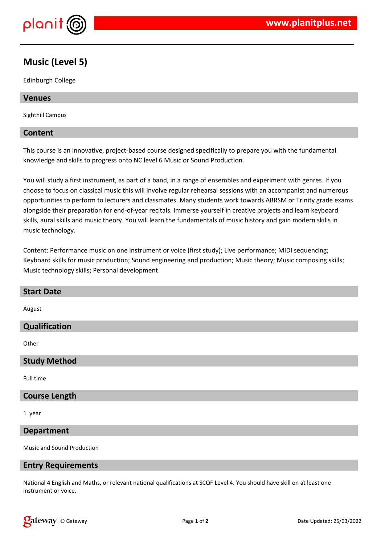

# **Music (Level 5)**

Edinburgh College

### **Venues**

Sighthill Campus

### **Content**

This course is an innovative, project-based course designed specifically to prepare you with the fundamental knowledge and skills to progress onto NC level 6 Music or Sound Production.

You will study a first instrument, as part of a band, in a range of ensembles and experiment with genres. If you choose to focus on classical music this will involve regular rehearsal sessions with an accompanist and numerous opportunities to perform to lecturers and classmates. Many students work towards ABRSM or Trinity grade exams alongside their preparation for end-of-year recitals. Immerse yourself in creative projects and learn keyboard skills, aural skills and music theory. You will learn the fundamentals of music history and gain modern skills in music technology.

Content: Performance music on one instrument or voice (first study); Live performance; MIDI sequencing; Keyboard skills for music production; Sound engineering and production; Music theory; Music composing skills; Music technology skills; Personal development.

| <b>Start Date</b>          |
|----------------------------|
| August                     |
| Qualification              |
| Other                      |
| <b>Study Method</b>        |
| Full time                  |
| <b>Course Length</b>       |
| 1 year                     |
| <b>Department</b>          |
| Music and Sound Production |

### **Entry Requirements**

National 4 English and Maths, or relevant national qualifications at SCQF Level 4. You should have skill on at least one instrument or voice.